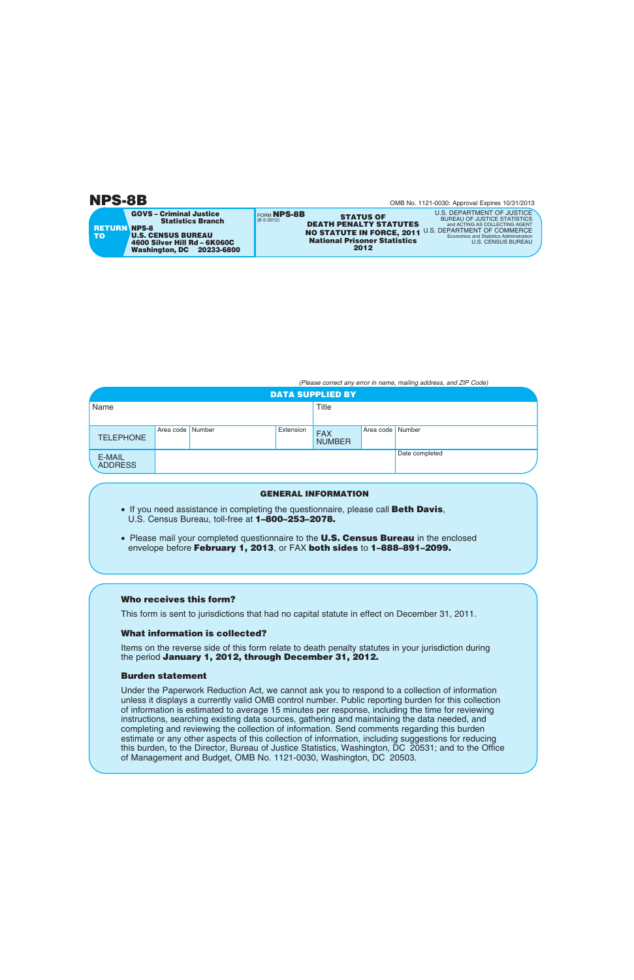# **NPS-8B**

**GOVS – Criminal Justice** 

**U.S. CENSUS BUREAU**

**RETURN NPS-8**

**TO**

FORM **NPS-8B** (8-2-2012) **STATUS OF DEATH PENALTY STATUTES 2012 National Prisoner Statistics NO STATUTE IN FORCE, 2011 Statistics Branch 4600 Silver Hill Rd – 6K060C Washington, DC 20233-6800**

*(Please correct any error in name, mailing address, and ZIP Code)*

| <b>DATA SUPPLIED BY</b>  |                    |  |           |                             |                  |                |  |
|--------------------------|--------------------|--|-----------|-----------------------------|------------------|----------------|--|
| Name                     |                    |  |           | <b>Title</b>                |                  |                |  |
|                          |                    |  |           |                             |                  |                |  |
| <b>TELEPHONE</b>         | Area code   Number |  | Extension | <b>FAX</b><br><b>NUMBER</b> | Area code Number |                |  |
| E-MAIL<br><b>ADDRESS</b> |                    |  |           |                             |                  | Date completed |  |

### **GENERAL INFORMATION**

- If you need assistance in completing the questionnaire, please call **Beth Davis**, U.S. Census Bureau, toll-free at **1–800–253–2078.**
- Please mail your completed questionnaire to the **U.S. Census Bureau** in the enclosed envelope before **February 1, 2013**, or FAX **both sides** to **1–888–891–2099.**

## **Who receives this form?**

This form is sent to jurisdictions that had no capital statute in effect on December 31, 2011.

## **What information is collected?**

Items on the reverse side of this form relate to death penalty statutes in your jurisdiction during the period **January 1, 2012, through December 31, 2012.**

## **Burden statement**

Under the Paperwork Reduction Act, we cannot ask you to respond to a collection of information unless it displays a currently valid OMB control number. Public reporting burden for this collection of information is estimated to average 15 minutes per response, including the time for reviewing instructions, searching existing data sources, gathering and maintaining the data needed, and completing and reviewing the collection of information. Send comments regarding this burden estimate or any other aspects of this collection of information, including suggestions for reducing this burden, to the Director, Bureau of Justice Statistics, Washington, DC 20531; and to the Office of Management and Budget, OMB No. 1121-0030, Washington, DC 20503.